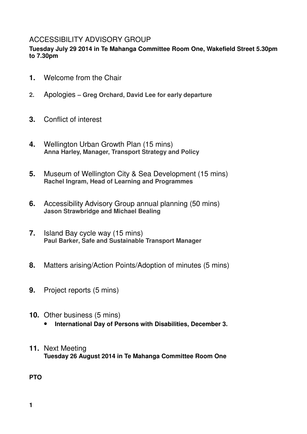# ACCESSIBILITY ADVISORY GROUP

#### **Tuesday July 29 2014 in Te Mahanga Committee Room One, Wakefield Street 5.30pm to 7.30pm**

- **1.** Welcome from the Chair
- **2.** Apologies  **Greg Orchard, David Lee for early departure**
- **3.** Conflict of interest
- **4.** Wellington Urban Growth Plan (15 mins) **Anna Harley, Manager, Transport Strategy and Policy**
- **5.** Museum of Wellington City & Sea Development (15 mins) **Rachel Ingram, Head of Learning and Programmes**
- **6.** Accessibility Advisory Group annual planning (50 mins) **Jason Strawbridge and Michael Bealing**
- **7.** Island Bay cycle way (15 mins) **Paul Barker, Safe and Sustainable Transport Manager**
- **8.** Matters arising/Action Points/Adoption of minutes (5 mins)
- **9.** Project reports (5 mins)
- **10.** Other business (5 mins) • **International Day of Persons with Disabilities, December 3.**
- **11.** Next Meeting **Tuesday 26 August 2014 in Te Mahanga Committee Room One**

**PTO**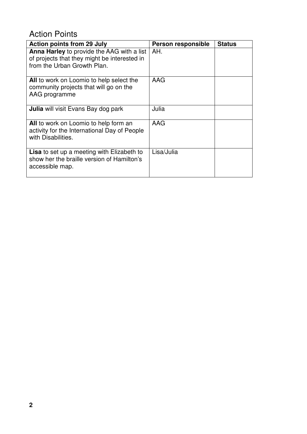# Action Points

| <b>Action points from 29 July</b>                                                                                         | Person responsible | <b>Status</b> |
|---------------------------------------------------------------------------------------------------------------------------|--------------------|---------------|
| Anna Harley to provide the AAG with a list<br>of projects that they might be interested in<br>from the Urban Growth Plan. | AH.                |               |
| All to work on Loomio to help select the<br>community projects that will go on the<br>AAG programme                       | AAG                |               |
| <b>Julia</b> will visit Evans Bay dog park                                                                                | Julia              |               |
| All to work on Loomio to help form an<br>activity for the International Day of People<br>with Disabilities.               | AAG                |               |
| <b>Lisa</b> to set up a meeting with Elizabeth to<br>show her the braille version of Hamilton's<br>accessible map.        | Lisa/Julia         |               |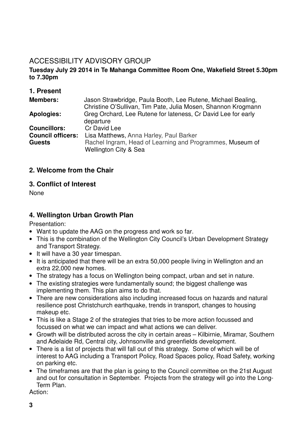# ACCESSIBILITY ADVISORY GROUP

#### **Tuesday July 29 2014 in Te Mahanga Committee Room One, Wakefield Street 5.30pm to 7.30pm**

### **1. Present**

| <b>Members:</b>                                                  | Jason Strawbridge, Paula Booth, Lee Rutene, Michael Bealing,<br>Christine O'Sullivan, Tim Pate, Julia Mosen, Shannon Krogmann |
|------------------------------------------------------------------|-------------------------------------------------------------------------------------------------------------------------------|
| <b>Apologies:</b>                                                | Greg Orchard, Lee Rutene for lateness, Cr David Lee for early<br>departure                                                    |
| <b>Councillors:</b><br><b>Council officers:</b><br><b>Guests</b> | Cr David Lee<br>Lisa Matthews, Anna Harley, Paul Barker<br>Rachel Ingram, Head of Learning and Programmes, Museum of          |
|                                                                  | <b>Wellington City &amp; Sea</b>                                                                                              |

#### **2. Welcome from the Chair**

#### **3. Conflict of Interest**

None

## **4. Wellington Urban Growth Plan**

Presentation:

- Want to update the AAG on the progress and work so far.
- This is the combination of the Wellington City Council's Urban Development Strategy and Transport Strategy.
- It will have a 30 year timespan.
- It is anticipated that there will be an extra 50,000 people living in Wellington and an extra 22,000 new homes.
- The strategy has a focus on Wellington being compact, urban and set in nature.
- The existing strategies were fundamentally sound; the biggest challenge was implementing them. This plan aims to do that.
- There are new considerations also including increased focus on hazards and natural resilience post Christchurch earthquake, trends in transport, changes to housing makeup etc.
- This is like a Stage 2 of the strategies that tries to be more action focussed and focussed on what we can impact and what actions we can deliver.
- Growth will be distributed across the city in certain areas Kilbirnie, Miramar, Southern and Adelaide Rd, Central city, Johnsonville and greenfields development.
- There is a list of projects that will fall out of this strategy. Some of which will be of interest to AAG including a Transport Policy, Road Spaces policy, Road Safety, working on parking etc.
- The timeframes are that the plan is going to the Council committee on the 21st August and out for consultation in September. Projects from the strategy will go into the Long-Term Plan.

Action: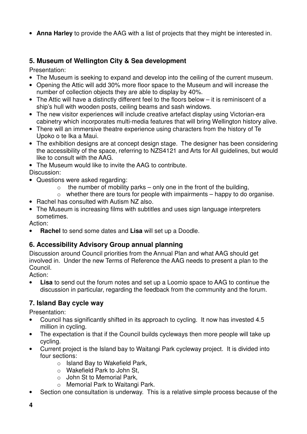• **Anna Harley** to provide the AAG with a list of projects that they might be interested in.

# **5. Museum of Wellington City & Sea development**

Presentation:

- The Museum is seeking to expand and develop into the ceiling of the current museum.
- Opening the Attic will add 30% more floor space to the Museum and will increase the number of collection objects they are able to display by 40%.
- The Attic will have a distinctly different feel to the floors below it is reminiscent of a ship's hull with wooden posts, ceiling beams and sash windows.
- The new visitor experiences will include creative artefact display using Victorian-era cabinetry which incorporates multi-media features that will bring Wellington history alive.
- There will an immersive theatre experience using characters from the history of Te Upoko o te Ika a Maui.
- The exhibition designs are at concept design stage. The designer has been considering the accessibility of the space, referring to NZS4121 and Arts for All guidelines, but would like to consult with the AAG.
- The Museum would like to invite the AAG to contribute.
- Discussion:
- Questions were asked regarding:
	- $\circ$  the number of mobility parks only one in the front of the building,
	- $\circ$  whether there are tours for people with impairments happy to do organise.
- Rachel has consulted with Autism NZ also.
- The Museum is increasing films with subtitles and uses sign language interpreters sometimes.

Action:

• **Rachel** to send some dates and **Lisa** will set up a Doodle.

## **6. Accessibility Advisory Group annual planning**

Discussion around Council priorities from the Annual Plan and what AAG should get involved in. Under the new Terms of Reference the AAG needs to present a plan to the Council.

Action:

**Lisa** to send out the forum notes and set up a Loomio space to AAG to continue the discussion in particular, regarding the feedback from the community and the forum.

# **7. Island Bay cycle way**

Presentation:

- Council has significantly shifted in its approach to cycling. It now has invested 4.5 million in cycling.
- The expectation is that if the Council builds cycleways then more people will take up cycling.
- Current project is the Island bay to Waitangi Park cycleway project. It is divided into four sections:
	- o Island Bay to Wakefield Park,
	- o Wakefield Park to John St,
	- o John St to Memorial Park,
	- o Memorial Park to Waitangi Park.
- Section one consultation is underway. This is a relative simple process because of the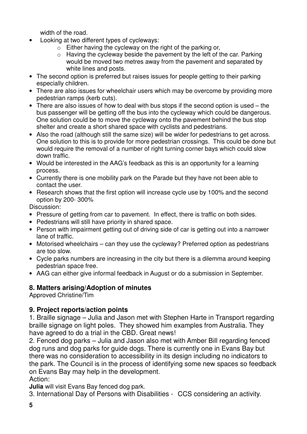width of the road.

- Looking at two different types of cycleways:
	- o Either having the cycleway on the right of the parking or,
	- o Having the cycleway beside the pavement by the left of the car. Parking would be moved two metres away from the pavement and separated by white lines and posts.
- The second option is preferred but raises issues for people getting to their parking especially children.
- There are also issues for wheelchair users which may be overcome by providing more pedestrian ramps (kerb cuts).
- There are also issues of how to deal with bus stops if the second option is used the bus passenger will be getting off the bus into the cycleway which could be dangerous. One solution could be to move the cycleway onto the pavement behind the bus stop shelter and create a short shared space with cyclists and pedestrians.
- Also the road (although still the same size) will be wider for pedestrians to get across. One solution to this is to provide for more pedestrian crossings. This could be done but would require the removal of a number of right turning corner bays which could slow down traffic.
- Would be interested in the AAG's feedback as this is an opportunity for a learning process.
- Currently there is one mobility park on the Parade but they have not been able to contact the user.
- Research shows that the first option will increase cycle use by 100% and the second option by 200- 300%

Discussion:

- Pressure of getting from car to pavement. In effect, there is traffic on both sides.
- Pedestrians will still have priority in shared space.
- Person with impairment getting out of driving side of car is getting out into a narrower lane of traffic.
- Motorised wheelchairs can they use the cycleway? Preferred option as pedestrians are too slow.
- Cycle parks numbers are increasing in the city but there is a dilemma around keeping pedestrian space free.
- AAG can either give informal feedback in August or do a submission in September.

# **8. Matters arising/Adoption of minutes**

Approved Christine/Tim

# **9. Project reports/action points**

1. Braille signage – Julia and Jason met with Stephen Harte in Transport regarding braille signage on light poles. They showed him examples from Australia. They have agreed to do a trial in the CBD. Great news!

2. Fenced dog parks – Julia and Jason also met with Amber Bill regarding fenced dog runs and dog parks for guide dogs. There is currently one in Evans Bay but there was no consideration to accessibility in its design including no indicators to the park. The Council is in the process of identifying some new spaces so feedback on Evans Bay may help in the development. Action:

**Julia** will visit Evans Bay fenced dog park.

3. International Day of Persons with Disabilities - CCS considering an activity.